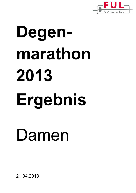

# **Degenmarathon 2013 Ergebnis**  Damen

21.04.2013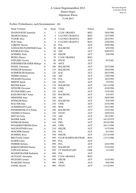Fechter (Teilnehmeres, nach Systemnummer - 44)

| Name Vorname                    | An           | Sysnr          | Verein                  | Nation     | Geburt     |
|---------------------------------|--------------|----------------|-------------------------|------------|------------|
| ZDANOVSCHI Anamaria             | A            | 1              | C.S.M. ORADEA           | <b>ROU</b> | 18/4/1986  |
| <b>SBARCIA Raluca</b>           | A            | $\overline{2}$ | <b>C.S.UNIV.CRAIOVA</b> | <b>ROU</b> | 14/7/1989  |
| <b>TUDOR Alice</b>              | A            | $\overline{4}$ | <b>C.S.UNIV.CRAIOVA</b> | <b>ROU</b> | 28/3/1991  |
| PUIU Oana                       | A            | 6              | <b>C.S.UNIV.CRAIOVA</b> | <b>ROU</b> | 23/8/1985  |
| <b>LORENZ Therese</b>           | A            | 20             | <b>FUL</b>              | <b>AUT</b> | 29/8/1968  |
| <b>GASSAUER-FLEISSNER Fiona</b> | $\mathbf{A}$ | 30             | <b>BALMUNG</b>          | <b>AUT</b> | 8/5/1990   |
| <b>KNOBLICH Ulrike</b>          | A            | 50             | <b>ASC</b>              | <b>AUT</b> | 20/8/1975  |
| <b>SCHMIDL Paula</b>            | A            | 60             | <b>OELFK</b>            | <b>AUT</b> | 2/6/1996   |
| <b>BENEA Bianca</b>             | A            | 70             | C.S.M. ORADEA           | <b>ROU</b> |            |
| <b>STELZER Victoria</b>         | A            | 80             | <b>STLFC</b>            | <b>AUT</b> | 9/1/1987   |
| STROHMEYER-EDER Hildega         | $\mathbf{A}$ | 90             | <b>AFCS</b>             | <b>AUT</b> |            |
| <b>ENGEL Christiana</b>         | A            | 100            | <b>BALMUNG</b>          | <b>AUT</b> | 10/7/1989  |
| <b>WINKLER Konstanze</b>        | A            | 110            | <b>BALMUNG</b>          | <b>AUT</b> | 10/4/1996  |
| <b>SCHMEDLER Katharina</b>      | A            | 120            | <b>KAC</b>              | <b>AUT</b> | 26/3/1996  |
| NEHIBA Barbara                  | A            | 140            | <b>ASC</b>              | <b>AUT</b> | 12/8/1988  |
| PFLEGER Florentina              | A            | 150            | <b>FUL</b>              | <b>AUT</b> | 18/2/1994  |
| <b>MERTH Sigrid</b>             | A            | 160            | <b>STLFC</b>            | <b>AUT</b> | 7/2/1991   |
| <b>REITER Katrin</b>            | A            | 170            | <b>BALMUNG</b>          | <b>AUT</b> | 24/11/1990 |
| NITSCHE Giovanna                | A            | 190            | <b>UWK</b>              | <b>AUT</b> | 4/10/1996  |
| <b>PUCHACHER Laura</b>          | A            | 210            | <b>KAC</b>              | <b>AUT</b> | 13/5/1994  |
| RAZUMOVSKY Xenia                | A            | 220            | <b>BALMUNG</b>          | <b>AUT</b> | 3/3/1997   |
| <b>MEHOFER Anna</b>             | A            | 240            | <b>ASC</b>              | <b>AUT</b> | 30/8/1990  |
| <b>WINKLER Klara</b>            | A            | 250            | <b>BALMUNG</b>          | <b>AUT</b> | 5/4/1998   |
| <b>WALTER Julia</b>             | A            | 270            | <b>UWK</b>              | <b>AUT</b> | 23/5/1996  |
| <b>ACKERMANN Laure</b>          | A            | 290            | <b>WFK</b>              | <b>AUT</b> | 18/1/1985  |
| POGREBINSKAYA Polina            | A            | 290            | <b>BALMUNG</b>          | <b>AUT</b> | 15/5/1994  |
| <b>VEGHELYI Patricia</b>        | A            | 320            | <b>STLFC</b>            | <b>AUT</b> | 10/9/1976  |
| <b>MITTAS</b> Sofie             | A            | 370            | <b>ASC</b>              | <b>AUT</b> | 19/1/1987  |
| <b>MADER Judith</b>             | A            | 400            | <b>FUL</b>              | <b>AUT</b> | 16/12/1978 |
| <b>WINKLER Melitta</b>          | A            | 410            | <b>FKS</b>              | <b>AUT</b> | 30/10/1989 |
| <b>WOLKERSTORFER Gloria</b>     | A            | 460            | <b>UWK</b>              | <b>AUT</b> | 26/11/1996 |
| <b>HAUSLEITNER Luisa</b>        | A            | 510            | <b>OELFK</b>            | <b>AUT</b> | 31/7/1996  |
| <b>HOSCHER Daniela</b>          | A            | 540            | <b>FUL</b>              | <b>AUT</b> | 6/1/1987   |
| <b>SCHMIDL Rosa</b>             | A            | 550            | <b>OELFK</b>            | <b>AUT</b> | 27/12/1998 |
| <b>BRATIANU</b> Ionela          | A            | 999            | CLUB OLIMPIA BUCHAR     | <b>ROU</b> | 11/11/1980 |
| <b>ELMER Laura</b>              | A            | 999            | <b>FUL</b>              | AUT        |            |
| <b>FEHRER Stefanie</b>          | A            | 999            | <b>FUL</b>              | <b>AUT</b> | 24/2/1998  |
| KOROTCHENKO Darina              | A            | 999            | <b>BALMUNG</b>          | <b>AUT</b> | 27/2/1994  |
| <b>LOWACK Helena</b>            | A            | 999            | TV INGOLSTADT           | <b>GER</b> | 1/1/1982   |
| <b>MADERTHANER Katharina</b>    | A            | 999            | <b>FUL</b>              | AUT        |            |
| <b>OLTEANU</b> Alexandra        | A            | 999            | C.S.M. ORADEA           | <b>ROU</b> |            |
| PFLEGER Carmen                  | A            | 999            | <b>OELFK</b>            | <b>AUT</b> | 12/3/1992  |
| <b>WAKONIG Theresa</b>          | A            | 999            | <b>UWK</b>              | <b>AUT</b> | 9/6/1998   |
| <b>ZANKL Kerstin</b>            | A            | 999            | <b>STLFC</b>            | <b>AUT</b> | 11/12/1981 |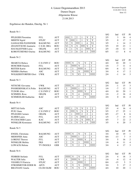#### Ergebnisse der Runden, Durchg. Nr 1

Runde Nr 1

|                            |                  |            |                                                                                                    | S/G        | Ind            | <b>GT</b>       | P1                 |
|----------------------------|------------------|------------|----------------------------------------------------------------------------------------------------|------------|----------------|-----------------|--------------------|
| PFLEGER Florentina         | <b>FUL</b>       | <b>AUT</b> | 3<br>$\overline{2}$<br>V<br>V<br>1                                                                 | 2/5        | 3              | 16              | $\overline{4}$     |
| <b>MERTH Sigrid</b>        | <b>STLFC</b>     | <b>AUT</b> | $\overline{\mathbf{V}}$<br>$\overline{\mathbf{V}}$<br>$\mathbf{V}$<br>$\mathbf{1}$<br>$\mathbf{1}$ | 3/5        | $\Omega$       | 17              | $\mathfrak{Z}$     |
| <b>GASSAUER-FLEISSNER</b>  | <b>BALMUNG</b>   | <b>AUT</b> | V<br><b>T</b><br>$\overline{4}$<br>V <sub>1</sub><br>V <sub>3</sub><br>$\mathbf{1}$                | 3/5        | 1              | 14              | $\mathfrak 2$      |
| ZDANOVSCHI Anamaria        | C.S.M. ORA       | <b>ROU</b> | $\overline{V}$<br>$\overline{\mathbf{V}}$<br>$\mathbf{V}$<br>V<br>V <sub>3</sub>                   | 5/5        | 19             | 23              | $\mathbf{1}$       |
| <b>HAUSLEITNER Luisa</b>   | <b>OELFK</b>     | <b>AUT</b> | $\mathbf{V}$<br>$\mathbf{V}$<br>$\mathbf{1}$<br>$\mathbf{1}$<br>$\boldsymbol{0}$                   | 2/5        | $-10$          | 12              | 5                  |
| KOROTCHENKO Darina         | <b>BALMUNG</b>   | <b>AUT</b> | $\overline{2}$<br>3<br>$\overline{0}$<br>$\overline{0}$<br>3                                       | 0/5        | $-13$          | 8               | 6                  |
|                            |                  |            |                                                                                                    |            |                |                 |                    |
| Runde Nr 2                 |                  |            |                                                                                                    |            |                |                 |                    |
| <b>SBARCIA Raluca</b>      | C.S.UNIV.C       | <b>ROU</b> | V<br>V<br>V<br>V                                                                                   | S/G<br>4/4 | Ind<br>10      | <b>GT</b><br>20 | P1<br>$\mathbf{1}$ |
| <b>HOSCHER Daniela</b>     | <b>FUL</b>       | <b>AUT</b> | $\mathfrak{Z}$<br>V<br>$\overline{c}$<br>1                                                         | 1/4        | $-7$           | 11              | $\overline{4}$     |
|                            |                  |            | $\overline{2}$<br>3                                                                                |            |                |                 |                    |
| <b>REITER Katrin</b>       | <b>BALMUNG</b>   | <b>AUT</b> | 3<br>$\overline{4}$<br>$\overline{\mathbf{V}}$<br>$\overline{\mathbf{V}}$<br>$\overline{V}$        | 0/4        | $-6$           | 12              | 5                  |
| NEHIBA Barbara             | <b>ASC</b>       | <b>AUT</b> | $\overline{c}$                                                                                     | 3/4        | $\overline{4}$ | 17              | $\sqrt{2}$         |
| <b>WOLKERSTORFER Glori</b> | <b>UWK</b>       | <b>AUT</b> | $\overline{\mathbf{V}}$<br>3<br>V <sub>3</sub><br>3                                                | 2/4        | -1             | 14              | 3                  |
| Runde Nr 3                 |                  |            |                                                                                                    |            |                |                 |                    |
|                            |                  |            | $\mathbf{V}$                                                                                       | S/G        | Ind            | <b>GT</b>       | P1                 |
| NITSCHE Giovanna           | <b>UWK</b>       | <b>AUT</b> | $\overline{2}$<br>$\mathfrak{Z}$<br>V                                                              | 2/4        | $-1$           | 15              | 3                  |
| POGREBINSKAYA Polin        | <b>BALMUNG</b>   | <b>AUT</b> | $\overline{V}$<br>$\mathbf{1}$<br>3<br>3                                                           | 1/4        | $-7$           | 12              | 5                  |
| <b>TUDOR Alice</b>         | C.S.UNIV.C       | <b>ROU</b> | $\overline{\mathsf{V}}$<br>$\overline{\mathbf{V}}$<br>$\mathbf V$<br>$\mathbf{V}$                  | 4/4        | 10             | 20              | $\mathbf{1}$       |
| <b>SCHMIDL Rosa</b>        | <b>OELFK</b>     | <b>AUT</b> | $\overline{\mathsf{V}}$<br>3<br>$\overline{4}$<br>$\overline{4}$                                   | 1/4        | $-2$           | 16              | $\overline{4}$     |
| <b>SCHMEDLER Katharina</b> | <b>KAC</b>       | <b>AUT</b> | 3<br>V <sub>4</sub><br>$\overline{4}$<br>$\mathbf{V}$                                              | 2/4        | $\Omega$       | 16              | $\overline{2}$     |
| Runde Nr 4                 |                  |            |                                                                                                    |            |                |                 |                    |
|                            |                  |            | V                                                                                                  | S/G        | Ind            | <b>GT</b>       | P1                 |
| <b>MITTAS</b> Sofie        | <b>ASC</b>       | <b>AUT</b> | $\overline{2}$<br>3<br>$\mathbf{1}$<br>V                                                           | 2/5        | $-4$           | 16              | $\overline{4}$     |
| PUIU Oana                  | C.S.UNIV.C       | <b>ROU</b> | $\overline{\mathbf{V}}$<br>$\overline{\mathbf{V}}$<br>V<br>V<br>V                                  | 5/5        | 17             | 25              | $\mathbf{1}$       |
| PFLEGER Carmen             | <b>OELFK</b>     | <b>AUT</b> | $\overline{2}$<br>$\overline{c}$<br>$\overline{2}$<br>$\mathbf{1}$<br>$\mathbf{1}$                 | 0/5        | $-17$          | 8               | 6                  |
| <b>ELMER Laura</b>         | <b>FUL</b>       | <b>AUT</b> | 3<br>3<br>3<br>V<br>$\mathbf{1}$                                                                   | 1/5        | $-7$           | 15              | $\mathfrak s$      |
| <b>PUCHACHER Laura</b>     | <b>KAC</b>       | <b>AUT</b> | $\overline{\mathbf{V}}$<br>$\overline{2}$<br>$\mathbf{V}$<br>V<br>V                                | 4/5        | 7              | 22              | $\sqrt{2}$         |
| <b>WINKLER Konstanze</b>   | <b>BALMUNG</b>   | <b>AUT</b> | $\mathbf{V}$<br>$\mathbf{V}$<br>V<br>$\mathbf{1}$<br>$\overline{4}$                                | 3/5        | $\overline{4}$ | 20              | 3                  |
| Runde Nr 5                 |                  |            |                                                                                                    |            |                |                 |                    |
|                            |                  |            |                                                                                                    | S/G        | Ind            | <b>GT</b>       | P1                 |
| <b>ENGEL Christiana</b>    | <b>BALMUNG</b>   | <b>AUT</b> | $\ensuremath{\mathbf{V}}$<br>$\mathbf V$<br>V<br>$\overline{4}$                                    | 3/4        | 10             | 19              | 1                  |
| <b>MEHOFER Anna</b>        | <b>ASC</b>       | <b>AUT</b> | $\overline{3}$<br>$\,1\,$<br>$\sqrt{2}$<br>$\mathbf 1$                                             | 0/4        | $-13$          | $\tau$          | $\sqrt{5}$         |
| <b>LORENZ</b> Therese      | <b>FUL</b>       | <b>AUT</b> | V<br>V<br>V<br>1                                                                                   | 3/4        | 5              | 16              | $\overline{c}$     |
| <b>WINKLER Melitta</b>     | <b>FKS</b>       | <b>AUT</b> | $\overline{\mathbf{V}}$<br>$\boldsymbol{2}$<br>3<br>$\mathbf{1}$                                   | 1/4        | $-6$           | 11              | $\overline{4}$     |
| <b>LOWACK Helena</b>       | <b>TV INGOLS</b> | <b>GER</b> | $\mathbf{V}$<br>$\mathbf V$<br>$\overline{2}$<br>V                                                 | 3/4        | $\overline{4}$ | 17              | 3                  |
| Runde Nr 6                 |                  |            |                                                                                                    |            |                |                 |                    |
|                            |                  |            |                                                                                                    | S/G        | Ind            | GT              | P1                 |
| <b>FEHRER Stefanie</b>     | <b>FUL</b>       | <b>AUT</b> | $\mathbf V$<br>V<br>$\overline{4}$<br>$\overline{4}$                                               | 2/4        | $\overline{4}$ | 18              | 3                  |
| <b>WALTER Julia</b>        | <b>UWK</b>       | <b>AUT</b> | $\overline{2}$<br>$\mathbf V$<br>$\mathbf{1}$<br>$\overline{4}$                                    | 1/4        | $-4$           | 12              | 4                  |
| <b>VEGHELYI Patricia</b>   | <b>STLFC</b>     | <b>AUT</b> | $\overline{2}$<br>$\overline{2}$<br>$\boldsymbol{0}$<br>1                                          | 0/4        | $-15$          | 5               | 5                  |
| STROHMEYER-EDER Hi         | <b>AFCS</b>      | <b>AUT</b> | $\overline{2}$<br>V<br>V<br>V                                                                      | 3/4        | 5              | 17              | $\mathfrak{2}$     |
| <b>BRATIANU</b> Ionela     | <b>CLUB OLIM</b> | <b>ROU</b> | $\mathbf V$<br>V<br>$\mathbf V$<br>V                                                               | 4/4        | 10             | 20              | $\mathbf{1}$       |
|                            |                  |            |                                                                                                    |            |                |                 |                    |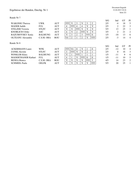Runde Nr 7

|                            |                |            |                |    |                |              |          |              | S/G | Ind            | <b>GT</b> | P <sub>1</sub> |
|----------------------------|----------------|------------|----------------|----|----------------|--------------|----------|--------------|-----|----------------|-----------|----------------|
| <b>WAKONIG Theresa</b>     | <b>UWK</b>     | <b>AUT</b> |                | V  | 3              | V            | 3        | 2            | 2/5 | $-4$           | 18        | 5              |
| <b>MADER</b> Judith        | <b>FUL</b>     | <b>AUT</b> | 4              |    | 4              | 4            | V        | V            | 2/5 | 2              | 22        | 3              |
| <b>STELZER Victoria</b>    | <b>STLFC</b>   | <b>AUT</b> | V              | V  |                | $\mathbf{V}$ | V        | $\mathbf{V}$ | 5/5 | 13             | 25        |                |
| <b>KNOBLICH Ulrike</b>     | ASC.           | <b>AUT</b> | 4              | V  | $\overline{2}$ |              | V        | V            | 3/5 | $\overline{2}$ | 21        | 2              |
| RAZUMOVSKY Xenia           | <b>BALMUNG</b> | <b>AUT</b> | V              | 3  | $\overline{2}$ | 3            |          | $\Omega$     | 1/5 | $-10$          | 13        | 6              |
| <b>OLTEANU</b> Alexandra   | C.S.M. ORA     | <b>ROU</b> | V4             | 2  |                | 2            | V        |              | 2/5 | $-3$           | 14        | $\overline{4}$ |
| Runde Nr 8                 |                |            |                |    |                |              |          |              | S/G | Ind            | <b>GT</b> | P <sub>1</sub> |
| <b>ACKERMANN Laure</b>     | <b>WFK</b>     | AUT        |                | V4 | $\theta$       | V            |          | $\Omega$     | 2/5 | $-12$          | 10        | $\overline{4}$ |
| <b>ZANKL</b> Kerstin       | <b>STLFC</b>   | <b>AUT</b> | 3              |    | V              | V            | 2        |              | 2/5 | $\theta$       | 16        | 3              |
| <b>WINKLER Klara</b>       | <b>BALMUNG</b> | <b>AUT</b> | V              |    |                |              |          |              | 1/5 | $-11$          | 9         | 6              |
| <b>MADERTHANER Kathari</b> | <b>FUL</b>     | AUT        | $\overline{4}$ |    | V              |              | $\Omega$ | $\theta$     | 1/5 | $-11$          | 10        | 5              |
| <b>BENEA Bianca</b>        | C.S.M. ORA     | <b>ROU</b> | V              | V  | V              | V            |          | 3            | 4/5 | 14             | 23        | 2              |
| <b>SCHMIDL</b> Paula       | <b>OELFK</b>   | <b>AUT</b> | V              | V  | V              | V            | V        |              | 5/5 | 20             | 25        |                |
|                            |                |            |                |    |                |              |          |              |     |                |           |                |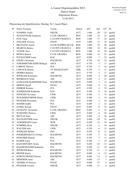Platzierung der Qualifizierten, Durchg. Nr 1 (nach Platz)

| P1 | Name Vorname                | Verein                   | Nation     | S/G   | Ind              | GT | Pl.     |
|----|-----------------------------|--------------------------|------------|-------|------------------|----|---------|
| 1  | <b>SCHMIDL Paula</b>        | <b>OELFK</b>             | <b>AUT</b> | 1.000 | 20               | 25 | qualifi |
| 2  | <b>ZDANOVSCHI</b> Anamaria  | C.S.M. ORADEA            | <b>ROU</b> | 1.000 | 19               | 23 | qualifi |
| 3  | PUIU Oana                   | <b>C.S.UNIV.CRAIOVA</b>  | <b>ROU</b> | 1.000 | 17               | 25 | qualifi |
| 4  | <b>STELZER Victoria</b>     | <b>STLFC</b>             | <b>AUT</b> | 1.000 | 13               | 25 | qualifi |
| 5  | <b>BRATIANU</b> Ionela      | <b>CLUB OLIMPIA BUCH</b> | <b>ROU</b> | 1.000 | 10               | 20 | qualifi |
| 5  | <b>SBARCIA Raluca</b>       | <b>C.S.UNIV.CRAIOVA</b>  | <b>ROU</b> | 1.000 | 10               | 20 | qualifi |
| 5  | <b>TUDOR Alice</b>          | <b>C.S.UNIV.CRAIOVA</b>  | <b>ROU</b> | 1.000 | 10               | 20 | qualifi |
| 8  | <b>BENEA Bianca</b>         | C.S.M. ORADEA            | <b>ROU</b> | 0.800 | 14               | 23 | qualifi |
| 9  | <b>PUCHACHER Laura</b>      | <b>KAC</b>               | <b>AUT</b> | 0.800 | $\tau$           | 22 | qualifi |
| 10 | <b>ENGEL Christiana</b>     | <b>BALMUNG</b>           | <b>AUT</b> | 0.750 | 10               | 19 | qualifi |
| 11 | STROHMEYER-EDER Hildegar    | <b>AFCS</b>              | <b>AUT</b> | 0.750 | 5                | 17 | qualifi |
| 12 | <b>LORENZ Therese</b>       | <b>FUL</b>               | <b>AUT</b> | 0.750 | 5                | 16 | qualifi |
| 13 | <b>LOWACK Helena</b>        | <b>TV INGOLSTADT</b>     | <b>GER</b> | 0.750 | $\overline{4}$   | 17 | qualifi |
| 13 | NEHIBA Barbara              | <b>ASC</b>               | <b>AUT</b> | 0.750 | $\overline{4}$   | 17 | qualifi |
| 15 | <b>WINKLER Konstanze</b>    | <b>BALMUNG</b>           | <b>AUT</b> | 0.600 | $\overline{4}$   | 20 | qualifi |
| 16 | <b>KNOBLICH Ulrike</b>      | <b>ASC</b>               | <b>AUT</b> | 0.600 | $\overline{2}$   | 21 | qualifi |
| 17 | GASSAUER-FLEISSNER Fiona    | <b>BALMUNG</b>           | <b>AUT</b> | 0.600 | $\mathbf{1}$     | 14 | qualifi |
| 18 | <b>MERTH Sigrid</b>         | <b>STLFC</b>             | <b>AUT</b> | 0.600 | $\boldsymbol{0}$ | 17 | qualifi |
| 19 | <b>FEHRER Stefanie</b>      | <b>FUL</b>               | <b>AUT</b> | 0.500 | $\overline{4}$   | 18 | qualifi |
| 20 | <b>SCHMEDLER Katharina</b>  | <b>KAC</b>               | <b>AUT</b> | 0.500 | $\boldsymbol{0}$ | 16 | qualifi |
| 21 | NITSCHE Giovanna            | <b>UWK</b>               | <b>AUT</b> | 0.500 | $-1$             | 15 | qualifi |
| 22 | <b>WOLKERSTORFER Gloria</b> | <b>UWK</b>               | <b>AUT</b> | 0.500 | $-1$             | 14 | qualifi |
| 23 | PFLEGER Florentina          | <b>FUL</b>               | <b>AUT</b> | 0.400 | $\mathfrak{Z}$   | 16 | qualifi |
| 24 | <b>MADER Judith</b>         | <b>FUL</b>               | <b>AUT</b> | 0.400 | $\overline{2}$   | 22 | qualifi |
| 25 | <b>ZANKL Kerstin</b>        | <b>STLFC</b>             | <b>AUT</b> | 0.400 | $\boldsymbol{0}$ | 16 | qualifi |
| 26 | <b>OLTEANU</b> Alexandra    | C.S.M. ORADEA            | <b>ROU</b> | 0.400 | $-3$             | 14 | qualifi |
| 27 | <b>WAKONIG Theresa</b>      | <b>UWK</b>               | <b>AUT</b> | 0.400 | $-4$             | 18 | qualifi |
| 28 | <b>MITTAS</b> Sofie         | <b>ASC</b>               | <b>AUT</b> | 0.400 | $-4$             | 16 | qualifi |
| 29 | <b>HAUSLEITNER Luisa</b>    | <b>OELFK</b>             | <b>AUT</b> | 0.400 | $-10$            | 12 | qualifi |
| 30 | <b>ACKERMANN Laure</b>      | <b>WFK</b>               | <b>AUT</b> | 0.400 | $-12$            | 10 | qualifi |
| 31 | <b>SCHMIDL Rosa</b>         | <b>OELFK</b>             | <b>AUT</b> | 0.250 | $-2$             | 16 | qualifi |
| 32 | <b>WALTER Julia</b>         | <b>UWK</b>               | <b>AUT</b> | 0.250 | $-4$             | 12 | qualifi |
| 33 | <b>WINKLER Melitta</b>      | <b>FKS</b>               | AUT        | 0.250 | $-6$             | 11 | qualifi |
| 34 | POGREBINSKAYA Polina        | <b>BALMUNG</b>           | <b>AUT</b> | 0.250 | $-7$             | 12 | qualifi |
| 35 | <b>HOSCHER Daniela</b>      | <b>FUL</b>               | <b>AUT</b> | 0.250 | $-7$             | 11 | qualifi |
| 36 | <b>ELMER Laura</b>          | <b>FUL</b>               | <b>AUT</b> | 0.200 | $-7$             | 15 | qualifi |
| 37 | RAZUMOVSKY Xenia            | <b>BALMUNG</b>           | AUT        | 0.200 | $-10$            | 13 | qualifi |
| 38 | MADERTHANER Katharina       | <b>FUL</b>               | <b>AUT</b> | 0.200 | $-11$            | 10 | qualifi |
| 39 | <b>WINKLER Klara</b>        | <b>BALMUNG</b>           | <b>AUT</b> | 0.200 | $-11$            | 9  | qualifi |
| 40 | <b>REITER Katrin</b>        | <b>BALMUNG</b>           | <b>AUT</b> | 0.000 | $-6$             | 12 | qualifi |
| 41 | KOROTCHENKO Darina          | <b>BALMUNG</b>           | AUT        | 0.000 | $-13$            | 8  | qualifi |
| 42 | <b>MEHOFER Anna</b>         | <b>ASC</b>               | <b>AUT</b> | 0.000 | $-13$            | 7  | qualifi |
| 43 | VEGHELYI Patricia           | <b>STLFC</b>             | <b>AUT</b> | 0.000 | $-15$            | 5  | qualifi |
| 44 | PFLEGER Carmen              | <b>OELFK</b>             | <b>AUT</b> | 0.000 | $-17$            | 8  | qualifi |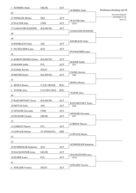| <b>OELFK</b>         | <b>AUT</b>                                                                                                                           |                                                                                                                            |                                                                                                                                                                       |
|----------------------|--------------------------------------------------------------------------------------------------------------------------------------|----------------------------------------------------------------------------------------------------------------------------|-----------------------------------------------------------------------------------------------------------------------------------------------------------------------|
|                      |                                                                                                                                      |                                                                                                                            | Direktausscheidung mit 64                                                                                                                                             |
| <b>FKS</b>           | <b>AUT</b>                                                                                                                           |                                                                                                                            | Document Engarde<br>21.04.2013 11:09                                                                                                                                  |
|                      |                                                                                                                                      | <b>WALTER Julia</b>                                                                                                        | Seite 1/2                                                                                                                                                             |
|                      |                                                                                                                                      |                                                                                                                            |                                                                                                                                                                       |
|                      |                                                                                                                                      | GASSAUER-FLEISSNE                                                                                                          |                                                                                                                                                                       |
|                      |                                                                                                                                      |                                                                                                                            |                                                                                                                                                                       |
|                      |                                                                                                                                      | <b>KNOBLICH Ulrike</b>                                                                                                     |                                                                                                                                                                       |
|                      |                                                                                                                                      |                                                                                                                            |                                                                                                                                                                       |
|                      |                                                                                                                                      | <b>PUCHACHER Laura</b>                                                                                                     |                                                                                                                                                                       |
|                      |                                                                                                                                      |                                                                                                                            |                                                                                                                                                                       |
| <b>BALMUNG</b>       | <b>AUT</b>                                                                                                                           | <b>MADER Judith</b>                                                                                                        |                                                                                                                                                                       |
| <b>FUL</b>           | <b>AUT</b>                                                                                                                           | 15/3                                                                                                                       |                                                                                                                                                                       |
| <b>STLFC</b>         | <b>AUT</b>                                                                                                                           |                                                                                                                            |                                                                                                                                                                       |
| <b>BALMUNG</b>       | <b>AUT</b>                                                                                                                           | 15/8                                                                                                                       |                                                                                                                                                                       |
|                      |                                                                                                                                      |                                                                                                                            |                                                                                                                                                                       |
| C.S.M. ORADE         | <b>ROU</b>                                                                                                                           |                                                                                                                            |                                                                                                                                                                       |
| <b>C.S.UNIV.CRAI</b> | <b>ROU</b>                                                                                                                           |                                                                                                                            |                                                                                                                                                                       |
|                      |                                                                                                                                      |                                                                                                                            |                                                                                                                                                                       |
|                      |                                                                                                                                      |                                                                                                                            |                                                                                                                                                                       |
|                      |                                                                                                                                      | RAZUMOVSKY Xenia                                                                                                           |                                                                                                                                                                       |
|                      |                                                                                                                                      |                                                                                                                            |                                                                                                                                                                       |
|                      |                                                                                                                                      | NITSCHE Giovanna                                                                                                           |                                                                                                                                                                       |
|                      |                                                                                                                                      |                                                                                                                            |                                                                                                                                                                       |
|                      |                                                                                                                                      | <b>LORENZ</b> Therese                                                                                                      |                                                                                                                                                                       |
|                      |                                                                                                                                      |                                                                                                                            |                                                                                                                                                                       |
| TV INGOLSTA          | <b>GER</b>                                                                                                                           | LOWACK Helena                                                                                                              |                                                                                                                                                                       |
|                      |                                                                                                                                      |                                                                                                                            |                                                                                                                                                                       |
|                      |                                                                                                                                      |                                                                                                                            |                                                                                                                                                                       |
| <b>KAC</b>           | <b>AUT</b>                                                                                                                           |                                                                                                                            |                                                                                                                                                                       |
| <b>OELFK</b>         | <b>AUT</b>                                                                                                                           |                                                                                                                            |                                                                                                                                                                       |
| <b>FUL</b>           | <b>AUT</b>                                                                                                                           | 15/11                                                                                                                      |                                                                                                                                                                       |
|                      |                                                                                                                                      |                                                                                                                            |                                                                                                                                                                       |
| <b>STLFC</b>         | <b>AUT</b>                                                                                                                           | <b>STELZER Victoria</b>                                                                                                    |                                                                                                                                                                       |
|                      | <b>UWK</b><br><b>BALMUNG</b><br><b>ASC</b><br><b>KAC</b><br><b>BALMUNG</b><br><b>ASC</b><br><b>UWK</b><br><b>OELFK</b><br><b>FUL</b> | <b>AUT</b><br><b>AUT</b><br><b>AUT</b><br><b>AUT</b><br><b>AUT</b><br><b>AUT</b><br><b>AUT</b><br><b>AUT</b><br><b>AUT</b> | <b>SCHMIDL Paula</b><br>15/13<br><b>ZANKL Kerstin</b><br><b>BENEA Bianca</b><br><b>TUDOR Alice</b><br>15/8<br>15/7<br><b>SCHMEDLER Katharina</b><br>HAUSLEITNER Luisa |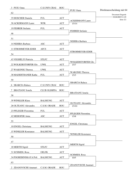| 3 PUIU Oana                 | C.S.UNIV.CRAI       | <b>ROU</b> |                                  | Direktausscheidung mit 64     |
|-----------------------------|---------------------|------------|----------------------------------|-------------------------------|
| 62                          |                     |            | PUIU Oana                        | Document Engarde              |
| 35 HOSCHER Daniela          | <b>FUL</b>          | <b>AUT</b> |                                  | 21.04.2013 11:09<br>Seite 2/2 |
| <b>30 ACKERMANN Laure</b>   | <b>WFK</b>          | <b>AUT</b> | <b>ACKERMANN Laure</b><br>15/14  |                               |
| 19 FEHRER Stefanie          | <b>FUL</b>          | <b>AUT</b> |                                  |                               |
| 46                          |                     |            | <b>FEHRER Stefanie</b>           |                               |
| 51                          |                     |            |                                  |                               |
| 14 NEHIBA Barbara           | <b>ASC</b>          | <b>AUT</b> | NEHIBA Barbara                   |                               |
| 11 STROHMEYER-EDER          | <b>AFCS</b>         | <b>AUT</b> |                                  |                               |
| 54                          |                     |            | STROHMEYER-EDER                  |                               |
| 43 VEGHELYI Patricia        | <b>STLFC</b>        | <b>AUT</b> |                                  |                               |
| 22 WOLKERSTORFER Glo        | <b>UWK</b>          | <b>AUT</b> | <b>WOLKERSTORFER Glo</b><br>15/7 |                               |
| 27 WAKONIG Theresa          | <b>UWK</b>          | <b>AUT</b> |                                  |                               |
|                             |                     |            | <b>WAKONIG Theresa</b>           |                               |
| 38 MADERTHANER Katha        | <b>FUL</b>          | <b>AUT</b> | 15/3                             |                               |
| 59                          |                     |            | <b>SBARCIA Raluca</b>            |                               |
| 6 SBARCIA Raluca            | C.S.UNIV.CRAI       | <b>ROU</b> |                                  |                               |
| <b>BRATIANU</b> Ionela<br>7 | <b>CLUB OLIMPIA</b> | <b>ROU</b> | <b>BRATIANU</b> Ionela           |                               |
| 58                          |                     |            |                                  |                               |
| 39 WINKLER Klara            | <b>BALMUNG</b>      | <b>AUT</b> | <b>OLTEANU</b> Alexandra         |                               |
| 26 OLTEANU Alexandra        | C.S.M. ORADE        | <b>ROU</b> | 15/10                            |                               |
| 23 PFLEGER Florentina       | <b>FUL</b>          | <b>AUT</b> |                                  |                               |
| 42 MEHOFER Anna             | <b>ASC</b>          | <b>AUT</b> | PFLEGER Florentina<br>15/8       |                               |
| 55                          |                     |            |                                  |                               |
| 10 ENGEL Christiana         | <b>BALMUNG</b>      | <b>AUT</b> | <b>ENGEL Christiana</b>          |                               |
| <b>15 WINKLER Konstanze</b> | <b>BALMUNG</b>      | <b>AUT</b> |                                  |                               |
| 50                          |                     |            | <b>WINKLER Konstanze</b>         |                               |
| 47                          |                     |            |                                  |                               |
| 18 MERTH Sigrid             | <b>STLFC</b>        | <b>AUT</b> | <b>MERTH Sigrid</b>              |                               |
| 31 SCHMIDL Rosa             | <b>OELFK</b>        | <b>AUT</b> |                                  |                               |
| 34 POGREBINSKAYA Poli       | <b>BALMUNG</b>      | <b>AUT</b> | <b>SCHMIDL Rosa</b>              |                               |
|                             |                     |            | 10/5                             |                               |
| 63                          |                     |            | ZDANOVSCHI Anamari               |                               |
| 2 ZDANOVSCHI Anamari        | C.S.M. ORADE        | <b>ROU</b> |                                  |                               |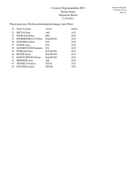Platzierung eines Direktausscheidungsdurchgangs (nach Platz)

| P1 | Name Vorname                | Verein         | <b>Nation</b> |
|----|-----------------------------|----------------|---------------|
| 33 | <b>MITTAS</b> Sofie         | ASC            | <b>AUT</b>    |
| 34 | <b>WINKLER Melitta</b>      | <b>FKS</b>     | <b>AUT</b>    |
| 35 | POGREBINSKAYA Polina        | <b>BALMUNG</b> | <b>AUT</b>    |
| 36 | <b>HOSCHER Daniela</b>      | <b>FUL</b>     | <b>AUT</b>    |
| 37 | <b>ELMER</b> Laura          | <b>FUL</b>     | <b>AUT</b>    |
| 38 | <b>MADERTHANER Katharin</b> | <b>FUL</b>     | <b>AUT</b>    |
| 39 | WINKLER Klara               | <b>BALMUNG</b> | <b>AUT</b>    |
| 40 | <b>REITER Katrin</b>        | <b>BALMUNG</b> | <b>AUT</b>    |
| 41 | KOROTCHENKO Darina          | <b>BALMUNG</b> | <b>AUT</b>    |
| 42 | <b>MEHOFER</b> Anna         | ASC            | <b>AUT</b>    |
| 43 | <b>VEGHELYI</b> Patricia    | <b>STLFC</b>   | <b>AUT</b>    |
| 44 | PFLEGER Carmen              | <b>OELFK</b>   | <b>AUT</b>    |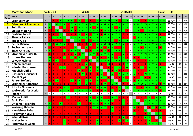|                         | <b>Marathon-Mode</b>         |                         | <b>Runde 1 - 32</b> |                |                         |                |                         |              |                |              |              |                | <b>Damen</b>            |                |                |                         |                         |                         |                         |                         |                         |                                                           |                         | 21.04.2013              |                           |              |              |                |                         |              |                        |    | <b>Round</b> |              | 30    |              |              |
|-------------------------|------------------------------|-------------------------|---------------------|----------------|-------------------------|----------------|-------------------------|--------------|----------------|--------------|--------------|----------------|-------------------------|----------------|----------------|-------------------------|-------------------------|-------------------------|-------------------------|-------------------------|-------------------------|-----------------------------------------------------------|-------------------------|-------------------------|---------------------------|--------------|--------------|----------------|-------------------------|--------------|------------------------|----|--------------|--------------|-------|--------------|--------------|
| temp<br><b>Rank</b>     | <b>Name</b>                  |                         | $\mathbf{1}$        | $\overline{2}$ | $\overline{\mathbf{3}}$ | $\overline{4}$ | $5\overline{5}$         | 6            | $\overline{z}$ | 8            | 9            |                |                         |                |                |                         |                         |                         |                         |                         |                         | 10   11   12   13   14   15   16   17   18   19   20   21 |                         | 22 23 24                |                           |              | l 25         | 26   27        |                         |              | 28   29   30   31   32 |    |              |              | V/G   | <b>IND</b>   | <b>TD</b>    |
| $\overline{7}$          | <b>Schmidl Paula</b>         | $\mathbf{1}$            |                     |                |                         | v.             | $\mathbf{V}$            | $\mathbf{V}$ | V              |              | V.           |                | v                       |                |                | v l                     | V2                      | v l                     | V <sub>2</sub>          | $\mathbf{V}$            | $\mathbf{V}$            | $\overline{\mathbf{3}}$                                   | $\mathbf{V}$            | $\mathbf{V}$            | $\mathbf{x}$              | v.           | V            |                |                         |              |                        |    | v.           |              | 21/30 | 36           | 126          |
| $\mathbf{1}$            | <b>Zdanovschi Anamaria</b>   | $\overline{2}$          | $\mathbf{V}$        |                | V3                      | $\mathbf{V}$   | $\mathbf{V}$            |              | v.             | $\mathbf{V}$ | $\mathbf{V}$ | $\mathbf{V}$   | $\mathsf{v}$            | V <sub>4</sub> | $\mathbf{V}$   | v                       | V <sub>1</sub>          | V2                      | $\mathbf{V}$            | $\mathbf{V}$            | $\mathbf{V}$            | $\mathbf{V}$                                              | $\mathbf{V}$            | $\mathbf{V}$            | $\mathbf{x}$              | $\mathbf{V}$ | V3           | $\mathbf{V}$   | V <sub>4</sub>          |              |                        |    | $\mathbf{V}$ |              | 29/30 | 87           | 138          |
| $\overline{\mathbf{3}}$ | <b>Puiu Oana</b>             | $\overline{\mathbf{3}}$ | $\mathbf{V}$        |                |                         |                | $\mathbf{V}$            |              | V1             |              | $\mathbf{V}$ | $\mathbf{v}$   | $\mathbf{V}$            | v              | $\overline{2}$ | v                       | $\mathbf{V}$            | $\mathbf{V}$            | $\mathbf{V}$            | $\mathbf{V}$            | $\overline{2}$          | v.                                                        | $\mathbf{V}$            | $\mathbf{V}$            | $\mathbf{x}$              | v            | $\mathbf{V}$ | V <sub>2</sub> | $\mathbf{V}$            |              |                        |    | $\mathbf{V}$ |              | 24/30 | 41           | 119          |
| 5                       | <b>Stelzer Victoria</b>      | $\overline{4}$          |                     | $\mathbf{0}$   | V                       |                |                         |              | v              |              | v            |                |                         |                |                |                         |                         | v                       |                         | v                       | $\mathbf{V}$            | V.                                                        | $\mathbf{V}$            | $\overline{\mathbf{3}}$ | $\mathbf{x}$              |              |              |                |                         |              |                        |    | $\mathbf{V}$ |              | 22/30 | 38           | 136          |
| 14                      | <b>Bratianu Ionela</b>       | 5 <sup>1</sup>          |                     |                |                         | v              |                         |              |                |              |              |                |                         |                |                |                         |                         | V <sub>2</sub>          |                         |                         |                         | v                                                         |                         |                         | $\mathbf{x}$              |              |              |                |                         |              |                        |    |              |              | 17/30 | 4            | 113          |
| $\overline{2}$          | <b>Sbarcia Raluca</b>        | $\pmb{6}$               |                     | v.             | $\mathbf{V}$            | v              | $\mathbf{V}$            |              | v.             | $\mathbf{v}$ | v            | $\mathbf{v}$   | v                       | $\mathbf{v}$   |                | v                       | v                       |                         |                         |                         | $\mathbf{v}$            | $\mathbf{V}$                                              |                         |                         | $\boldsymbol{\mathsf{x}}$ |              |              |                |                         |              |                        |    |              |              | 26/30 | 68           | 144          |
| 4                       | <b>Tudor Alice</b>           | $\overline{7}$          |                     |                | $\mathbf{0}$            |                | $\mathbf{V}$            |              |                | v.           | $\mathbf{v}$ |                | v                       |                | v              | $\mathbf{v}$            | v                       | v                       | v                       | $\mathbf{V}$            |                         | $\mathbf{V}$                                              | $\mathbf{V}$            | $\mathbf{V}$            | $\mathbf{x}$              | $\mathbf{V}$ |              |                |                         |              |                        |    |              |              | 22/30 | 48           | 132          |
| 6                       | <b>Benea Bianca</b>          | $\boldsymbol{s}$        |                     |                | V1                      |                | v                       |              |                |              |              |                |                         | v              |                | v                       | $\mathbf{v}$            | V3                      | V <sub>4</sub>          | $\mathbf{V}$            | $\mathbf{V}$            | $\mathbf{V}$                                              | $\mathbf{V}$            |                         | $\mathbf{x}$              | v            |              |                |                         |              |                        |    | $\mathbf{V}$ |              | 22/30 | 33           | 127          |
| 18                      | <b>Puchacher Laura</b>       | $\pmb{g}$               |                     |                |                         |                | $\overline{\mathbf{3}}$ |              | $\mathbf 1$    | V            |              |                | v.                      |                |                | v.                      | $\mathbf{v}$            |                         | v.                      | $\mathbf{v}$            | $\mathbf{R}$            | $\overline{2}$                                            | $\mathbf{V}$            |                         | $\mathbf{x}$              |              |              |                |                         |              |                        |    |              |              | 14/30 | $-15$        | 107          |
| 8                       | <b>Engel Christina</b>       | 10                      | $\mathbf{V}$        |                |                         |                | V                       |              | V.             | V4           | $\mathbf{V}$ |                | $\overline{\mathbf{3}}$ |                | v.             | v                       | $\overline{\mathbf{3}}$ | v                       | $\Delta$                | v.                      | $\mathbf{V}$            | $\mathbf{V}$                                              | $\mathbf{V}$            |                         | $\mathbf{x}$              |              |              |                |                         |              |                        |    |              |              | 21/30 | 34           | 126          |
| 11                      | Strohmeyer-Eder H.           | 11                      |                     |                |                         |                |                         |              |                |              |              | v              |                         | v              |                |                         | v                       |                         | v                       | v                       |                         |                                                           | v                       |                         | $\mathbf{x}$              | v            |              |                | V <sub>4</sub>          |              |                        |    |              |              | 18/30 | 16           | 123          |
| 13                      | <b>Lorenz Therese</b>        | 12                      |                     |                |                         |                |                         |              |                |              | v            |                |                         |                |                | v                       |                         |                         |                         |                         |                         | v.                                                        | $\mathbf v$             |                         | $\pmb{\times}$            |              |              |                |                         |              |                        |    |              |              | 17/30 | 15           | 123          |
| 9                       | <b>Lowack Helena</b>         | 13                      |                     |                | V3                      |                |                         |              |                | $\mathbf{V}$ | $\mathbf{V}$ |                |                         | V <sub>4</sub> |                | v.                      | $\mathbf{V}$            | v                       | v                       | $\overline{\mathsf{v}}$ | $\mathbf{V}$            | $\mathbf{V}$                                              | $\mathbf{V}$            | $\mathbf{V}$            | $\pmb{\times}$            | v            |              |                |                         |              |                        |    |              |              | 20/30 | 32           | 125          |
| 28                      | Nehiba Barbara               | 14                      |                     |                |                         |                |                         |              |                |              |              | $\overline{3}$ | v                       | 2 <sup>1</sup> | $\mathbf{1}$   |                         | $\overline{\mathbf{3}}$ | $\mathbf{1}$            | V <sub>4</sub>          |                         | $\overline{\mathbf{3}}$ | $\overline{2}$                                            | $\overline{2}$          | v                       | $\mathbf{x}$              |              |              |                |                         | v            | $\mathbf{v}$           |    |              |              | 6/30  | $-57$        | 81           |
| 19                      | <b>Winkler Konstanze</b>     | 15                      |                     |                |                         | v.             | $\mathbf{V}$            |              |                |              |              | $\mathbf{V}$   |                         | v.             |                | v                       |                         |                         | $\mathbf{0}$            |                         | V.                      | $\mathbf{V}$                                              |                         | V <sub>4</sub>          | $\mathbf{x}$              |              |              | v              |                         |              |                        |    |              |              | 14/30 | $-23$        | 101          |
| 22                      | <b>Knoblich Ulrike</b>       | 16                      |                     |                |                         |                |                         |              | $\overline{4}$ |              | V            | $\bullet$      | $\bullet$               | v.             |                | $\mathsf{v}$            | $\mathbf{v}$            |                         | $\mathbf{V}$            | $\overline{\mathbf{3}}$ | $\mathbf{V}$            |                                                           | $\overline{\mathbf{3}}$ | $\overline{\mathbf{3}}$ | $\mathbf{x}$              | v            |              |                | $\overline{0}$          |              |                        |    | $\mathbf{V}$ |              | 12/30 | $-4$         | 101          |
| 20                      | <b>Gassauer-Fleissner F.</b> | 17                      |                     |                |                         |                |                         |              |                |              |              | $\mathbf{V}$   |                         | $\overline{4}$ |                | $\overline{\mathbf{3}}$ | $\mathbf{V}$            | $\overline{\mathbf{3}}$ |                         | $\mathbf{V}$            |                         | $\mathbf{V}$                                              | $\mathbf{V}$            | $\mathbf{V}$            | $\mathbf{x}$              | v            |              |                | V <sub>4</sub>          |              |                        |    |              |              | 13/30 | $-4$         | 109          |
| 25                      | <b>Merth Sigrid</b>          | 18                      |                     |                |                         |                |                         |              |                |              |              |                |                         |                |                | v                       |                         | v                       |                         |                         |                         |                                                           | v                       |                         | $\mathbf{x}$              |              |              | v              |                         |              |                        |    |              |              | 9/30  | $-39$        | 95           |
| 12                      | <b>Fehrer Stefanie</b>       | 19                      |                     |                | v                       |                |                         |              | V.             |              | V.           |                | v.                      | v              |                | v.                      |                         |                         | V.                      | $\mathbf{V}$            |                         |                                                           | V.                      | $\mathbf{V}$            | $\boldsymbol{x}$          |              | v.           |                | V <sub>4</sub>          |              |                        |    |              |              | 18/30 | 16           | 122          |
| 17                      | <b>Schmedler Katharina</b>   | 20                      |                     |                |                         |                |                         |              | $\Delta$       |              | V.           |                | V                       | $\overline{3}$ |                | V                       |                         | $\mathbf{V}$            |                         | V                       | $\mathbf{V}$            |                                                           | $\Delta$                | $\overline{3}$          | $\mathbf{x}$              | $\mathbf{V}$ | $\mathbf{V}$ | V <sub>4</sub> | $\mathbf{V}$            |              |                        |    |              |              | 15/30 | $-10$        | 114          |
| 21                      | <b>Nitsche Giovanna</b>      | 21                      |                     |                |                         |                | v                       | v            |                |              |              |                |                         |                | $\mathbf{0}$   | $\mathbf{v}$            | V                       | V <sub>4</sub>          |                         | $\overline{\mathbf{3}}$ | $\Delta$                | $\mathbf{V}$                                              |                         | v                       | $\mathbf{x}$              | v            |              |                | V <sub>4</sub>          | $\mathbf{v}$ |                        |    | $\mathbf{V}$ | $\mathbf{v}$ | 13/30 | $-14$        | 112          |
| 10                      | <b>Wolkersdorfer Gloria</b>  | 22                      |                     |                |                         |                | v                       |              |                | v            | $\mathbf{V}$ | $\mathbf v$    | v                       | v              | $\mathbf{0}$   |                         | $\overline{\mathbf{3}}$ | V <sub>4</sub>          |                         | V.                      |                         | v.                                                        | $\overline{\mathbf{3}}$ |                         | $\mathbf{x}$              | $\mathbf{V}$ | $\mathbf{V}$ | V <sub>4</sub> | V <sub>2</sub>          |              |                        |    |              |              | 19/30 | 15           | 118          |
|                         | Pfleger                      | 23                      | $\mathsf{A}$        | $\mathbf{A}$   | $\mathsf{A}$            | A              | A                       | A            | $\mathbf{A}$   | A            | $\mathbf{A}$ | $\mathbf{A}$   | $\mathbf{A}$            | $\mathbf{A}$   | $\mathbf{A}$   | $\mathsf{A}$            | $\mathbf{A}$            | $\mathbf{A}$            | $\mathbf{A}$            | $\, {\bf A} \,$         | $\blacktriangle$        | $\mathbf{A}$                                              | $\mathbf{A}$            | $\mathbf{A}$            |                           | A            | $\mathbf{A}$ | A              | $\mathbf{A}$            | A            | A                      | A  | $\mathsf{A}$ | $\mathbf{A}$ | 0/0   | $\mathbf{0}$ | $\mathbf{0}$ |
| 24                      | <b>Mader Judith</b>          | 24                      |                     |                |                         |                |                         |              |                |              |              |                |                         | v              |                | v                       |                         |                         | $\overline{\mathbf{a}}$ | v.                      | v                       |                                                           | $\Delta$                | $\Delta$                | $\pmb{\mathsf{x}}$        |              |              |                |                         |              |                        |    | $\mathbf{v}$ |              | 10/30 | $-19$        | 108          |
| 16                      | <b>Zankl Kerstin</b>         | 25                      |                     |                |                         |                |                         |              |                |              |              |                |                         |                |                |                         |                         |                         |                         |                         |                         |                                                           | $\mathbf{V}$            |                         | $\boldsymbol{x}$          | v            |              |                |                         |              |                        |    |              |              | 15/30 | $\mathbf{0}$ | 114          |
| 15                      | <b>Olteanu Alexandra</b>     | 26                      |                     |                |                         | v              |                         |              |                |              | V.           |                |                         |                | V              | $\mathbf v$             |                         | v                       | v                       |                         |                         | 3                                                         | V.                      |                         | $\boldsymbol{\mathsf{x}}$ | $\mathbf{V}$ | $\mathbf{v}$ |                | V.                      | $\mathbf{V}$ |                        |    |              |              | 16/30 | 10           | 124          |
| 23                      | <b>Wakonig Theresa</b>       | 27                      |                     |                |                         |                |                         |              |                |              |              |                |                         |                | v              | $\mathbf{V}$            | $\mathbf{V}$            | v                       | $\overline{\mathbf{3}}$ | $\mathbf{V}$            | 3                       | $\Delta$                                                  | $\overline{2}$          | $\mathbf{1}$            | $\mathbf{x}$              | v            | $\Delta$     | $\overline{2}$ |                         |              |                        |    | v.           | $\mathbf{v}$ | 10/30 | $-13$        | 105          |
| 31                      | <b>Hausleitner Luisa</b>     | 28                      |                     |                |                         |                |                         |              |                |              |              |                |                         |                |                |                         |                         |                         |                         | v.                      |                         |                                                           | $\overline{\mathbf{3}}$ |                         | $\mathbf{x}$              |              |              |                | $\mathbf{V}$            |              |                        |    |              |              | 2/30  | $-69$        | 78           |
| 30                      | <b>Ackermann Laure</b>       | 29                      |                     |                |                         |                |                         |              |                |              |              |                |                         |                |                |                         |                         |                         | $\overline{\mathbf{3}}$ |                         |                         | $\overline{2}$                                            | $\mathbf{2}$            |                         | $\mathbf{x}$              | V.           |              |                | $\overline{4}$          | $\mathbf{V}$ |                        | v. | $\mathbf{V}$ |              | 4/30  | $-65$        | 78           |
| 29                      | <b>Schmidl Rosa</b>          | 30                      |                     |                |                         |                |                         |              |                |              | 3            |                | $\mathbf{0}$            |                | 3              | $\overline{4}$          | $\overline{4}$          | $\mathbf{1}$            | $\mathbf{2}$            | 4                       | $\mathbf{0}$            | $\mathbf{2}$                                              | $\mathbf{V}$            |                         | $\pmb{\chi}$              |              |              |                | $\mathbf{V}$            | $\mathbf{V}$ |                        |    | $\mathbf{V}$ |              | 4/30  | $-65$        | 79           |
| 26                      | <b>Walter Julia</b>          | 31                      |                     |                |                         |                | V.                      |              |                |              | V.           |                |                         |                |                | v                       |                         |                         |                         |                         |                         | v                                                         |                         | v                       | $\mathbf{x}$              |              |              |                | $\overline{\mathbf{3}}$ | $\mathbf{V}$ |                        |    |              |              | 6/30  | $-45$        | 97           |
| 27                      | <b>Razumovsky Xenia</b>      | 32                      |                     |                |                         |                |                         |              |                |              |              |                |                         |                |                |                         |                         |                         |                         |                         |                         |                                                           |                         |                         | $\mathbf{x}$              |              |              |                |                         |              |                        |    |              |              | 6/30  | $-51$        | 88           |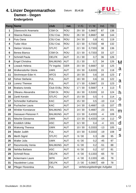

# **4. Linzer Degenmarathon** Datum: **21.4.13 Damen - Degen Endergebnis**

|                         | <b>Rang Name</b>         | club           | nat.       | V/G     | V/M                         | Ind.                    | <b>TD</b> |    |
|-------------------------|--------------------------|----------------|------------|---------|-----------------------------|-------------------------|-----------|----|
| 1                       | Zdanovschi Anamaria      | CSM Or.        | <b>ROU</b> | 29 / 30 | 0,9667                      | 87                      | 138       |    |
| $\mathbf{2}$            | Sbarcia Raluca           | CSU Crai.      | <b>ROU</b> | 26 / 30 | 0,8667                      | 68                      | 144       |    |
| 3                       | Puiu Oana                | CSU Crai.      | <b>ROU</b> | 24 / 30 | 0,8                         | 41                      | 119       |    |
| $\overline{\mathbf{4}}$ | <b>Tudor Alice</b>       | CSU Crai.      | <b>ROU</b> | 22/30   | 0,7333                      | 48                      | 132       |    |
| 5                       | <b>Stelzer Victoria</b>  | <b>STLFC</b>   | <b>AUT</b> | 22/30   | 0,7333                      | 38                      | 136       |    |
| 6                       | Benea Bianca             | CSM Or.        | <b>ROU</b> | 22/30   | 0,7333                      | 33                      | 127       |    |
| 7                       | <b>Schmidl Paula</b>     | <b>OELFK</b>   | <b>AUT</b> | 21/30   | 0,7                         | 36                      | 126       |    |
| 8                       | <b>Engel Christina</b>   | <b>BALMUNG</b> | <b>AUT</b> | 21/30   | 0,7                         | 34                      | 126       | M  |
| 9                       | Lowack Helena            | TV Ingolst.    | <b>GER</b> | 20 / 30 | 0,6667                      | 32                      | 125       |    |
| 10                      | Wolkersdorfer Gloria     | <b>UWK</b>     | <b>AUT</b> | 19/30   | 0,6333                      | 15                      | 118       | a  |
| 11                      | Strohmeyer-Eder H.       | <b>AFCS</b>    | <b>AUT</b> | 18/30   | 0,6                         | 16                      | 123       |    |
| 12                      | <b>Fehrer Stefanie</b>   | <b>FUL</b>     | <b>AUT</b> | 18/30   | 0,6                         | 16                      | 122       | a  |
| 13                      | Lorenz Therese           | <b>FUL</b>     | <b>AUT</b> | 17/30   | 0,5667                      | 15                      | 123       |    |
| 14                      | Bratianu Ionela          | Club Ol.Bu.    | ROU        | 17/30   | 0,5667                      | $\overline{\mathbf{4}}$ | 113       |    |
| 15                      | Olteanu Alexandra        | CSM Or.        | <b>ROU</b> | 16/30   | 0,5333                      | 10                      | 124       | h  |
| 16                      | <b>Zankl Kerstin</b>     | <b>STLFC</b>   | <b>AUT</b> | 15/30   | 0,5                         | $\pmb{0}$               | 114       |    |
| 17                      | Schmedler Katharina      | <b>KAC</b>     | <b>AUT</b> | 15/30   | 0,5                         | $-10$                   | 114       | O  |
| 18                      | Puchacher Laura          | <b>KAC</b>     | <b>AUT</b> | 14/30   | 0,4667                      | $-15$                   | 107       | n  |
| 19                      | <b>Winkler Konstanze</b> | <b>BALMUNG</b> | <b>AUT</b> | 14/30   | 0,4667                      | $-23$                   | 101       | m  |
| 20                      | Gassauer-Fleissner F.    | <b>BALMUNG</b> | <b>AUT</b> | 13/30   | 0,4333                      | $-4$                    | 109       |    |
| 21                      | Nitsche Giovanna         | <b>UWK</b>     | <b>AUT</b> | 13/30   | 0,4333                      | $-14$                   | 112       | Õ  |
| 22                      | Knoblich Ulrike          | <b>ASC</b>     | <b>AUT</b> | 12/30   | 0,4                         | $-4$                    | 101       | d  |
| 23                      | <b>Wakonig Theresa</b>   | <b>UWK</b>     | <b>AUT</b> | 10/30   | 0,3333                      | $-13$                   | 105       | U  |
| 24                      | Mader Judith             | <b>FUL</b>     | <b>AUT</b> | 10/30   | 0,3333                      | $-19$                   | 108       |    |
| 25                      | Merth Sigrid             | <b>STLFC</b>   | <b>AUT</b> | 9/30    | 0,3                         | $-39$                   | 95        | S. |
| 26                      | <b>Walter Julia</b>      | <b>UWK</b>     | <b>AUT</b> | 6/30    | 0,2                         | $-45$                   | 97        |    |
| 27                      | Razumovsky Xenia         | <b>BALMUNG</b> | <b>AUT</b> | 6/30    | 0,2                         | $-51$                   | 88        |    |
| 28                      | Nehiba Barbara           | <b>ASC</b>     | AUT        | 6/30    | 0,2                         | $-57$                   | 81        |    |
| 29                      | <b>Schmidl Rosa</b>      | <b>OELFK</b>   | <b>AUT</b> | 4/30    | 0,1333                      | $-65$                   | 79        |    |
| 30                      | Ackermann Laure          | <b>WFK</b>     | <b>AUT</b> | 4/30    | 0,1333                      | $-65$                   | 78        |    |
| 31                      | Hausleitner Luisa        | <b>OELFK</b>   | <b>AUT</b> | 2/30    | 0,0667                      | $-69$                   | 78        |    |
| 32                      | Pfleger Florentina       | <b>FUL</b>     | AUT        |         | verletzungsbedingte Aufgabe |                         |           |    |